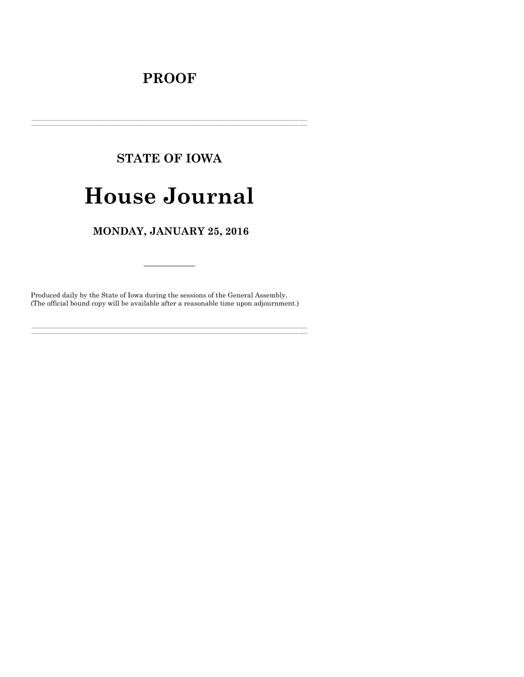# **PROOF**

# **STATE OF IOWA**

# **House Journal**

### MONDAY, JANUARY 25, 2016

Produced daily by the State of Iowa during the sessions of the General Assembly. (The official bound copy will be available after a reasonable time upon adjournment.)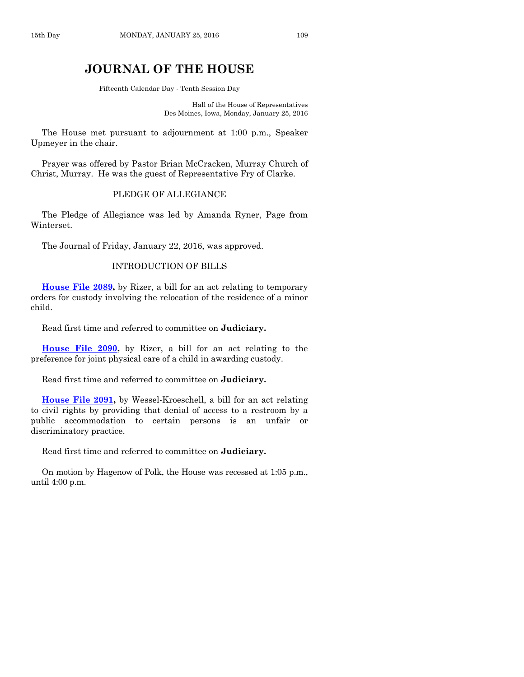## **JOURNAL OF THE HOUSE**

Fifteenth Calendar Day - Tenth Session Day

Hall of the House of Representatives Des Moines, Iowa, Monday, January 25, 2016

The House met pursuant to adjournment at 1:00 p.m., Speaker Upmeyer in the chair.

Prayer was offered by Pastor Brian McCracken, Murray Church of Christ, Murray. He was the guest of Representative Fry of Clarke.

#### PLEDGE OF ALLEGIANCE

The Pledge of Allegiance was led by Amanda Ryner, Page from Winterset.

The Journal of Friday, January 22, 2016, was approved.

#### INTRODUCTION OF BILLS

**[House File](http://coolice.legis.iowa.gov/Cool-ICE/default.asp?Category=billinfo&Service=Billbook&frame=1&GA=86&hbill=HF2089) 2089,** by Rizer, a bill for an act relating to temporary orders for custody involving the relocation of the residence of a minor child.

Read first time and referred to committee on **Judiciary.**

**[House File 2090,](http://coolice.legis.iowa.gov/Cool-ICE/default.asp?Category=billinfo&Service=Billbook&frame=1&GA=86&hbill=HF2090)** by Rizer, a bill for an act relating to the preference for joint physical care of a child in awarding custody.

Read first time and referred to committee on **Judiciary.**

**[House File 2091,](http://coolice.legis.iowa.gov/Cool-ICE/default.asp?Category=billinfo&Service=Billbook&frame=1&GA=86&hbill=HF2091)** by Wessel-Kroeschell, a bill for an act relating to civil rights by providing that denial of access to a restroom by a public accommodation to certain persons is an unfair or discriminatory practice.

Read first time and referred to committee on **Judiciary.**

On motion by Hagenow of Polk, the House was recessed at 1:05 p.m., until 4:00 p.m.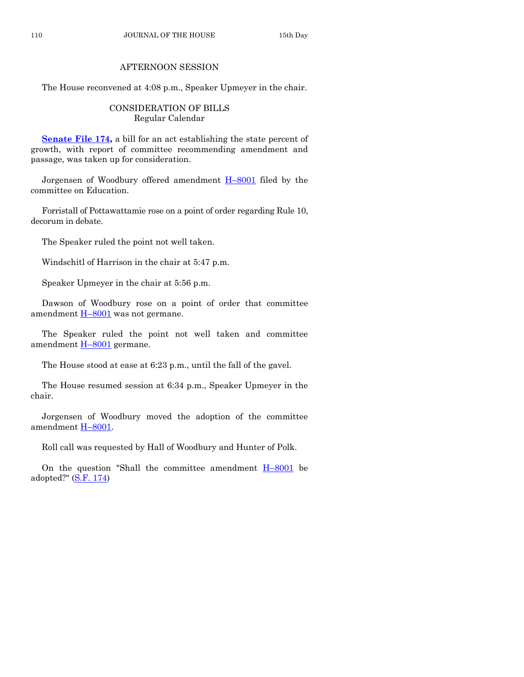#### AFTERNOON SESSION

The House reconvened at 4:08 p.m., Speaker Upmeyer in the chair.

#### CONSIDERATION OF BILLS Regular Calendar

**[Senate File 174,](http://coolice.legis.iowa.gov/Cool-ICE/default.asp?Category=billinfo&Service=Billbook&frame=1&GA=86&hbill=SF174)** a bill for an act establishing the state percent of growth, with report of committee recommending amendment and passage, was taken up for consideration.

Jorgensen of Woodbury offered amendment H–[8001](http://coolice.legis.iowa.gov/Cool-ICE/default.asp?Category=billinfo&Service=Billbook&frame=1&GA=86&hbill=H8001) filed by the committee on Education.

Forristall of Pottawattamie rose on a point of order regarding Rule 10, decorum in debate.

The Speaker ruled the point not well taken.

Windschitl of Harrison in the chair at 5:47 p.m.

Speaker Upmeyer in the chair at 5:56 p.m.

Dawson of Woodbury rose on a point of order that committee amendment  $H-8001$  $H-8001$  was not germane.

The Speaker ruled the point not well taken and committee amendment H–[8001](http://coolice.legis.iowa.gov/Cool-ICE/default.asp?Category=billinfo&Service=Billbook&frame=1&GA=86&hbill=H8001) germane.

The House stood at ease at 6:23 p.m., until the fall of the gavel.

The House resumed session at 6:34 p.m., Speaker Upmeyer in the chair.

Jorgensen of Woodbury moved the adoption of the committee amendment H–[8001.](http://coolice.legis.iowa.gov/Cool-ICE/default.asp?Category=billinfo&Service=Billbook&frame=1&GA=86&hbill=H8001)

Roll call was requested by Hall of Woodbury and Hunter of Polk.

On the question "Shall the committee amendment  $H-8001$  $H-8001$  be adopted?"  $(S.F. 174)$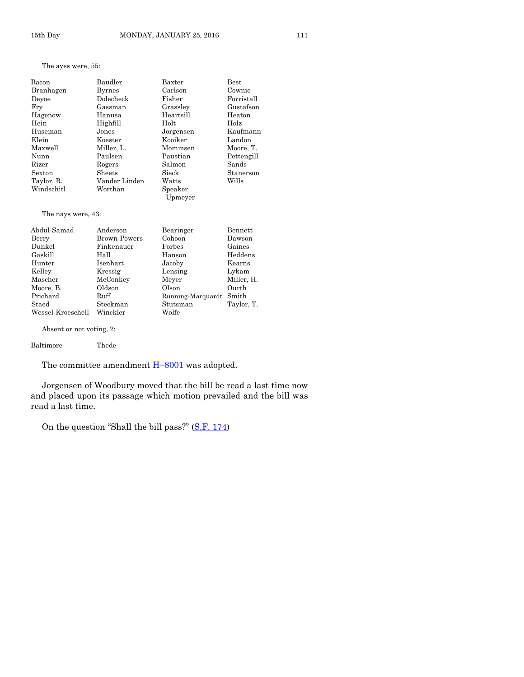#### The ayes were, 55:

| Bacon      | Baudler       | Baxter             | <b>Best</b> |
|------------|---------------|--------------------|-------------|
| Branhagen  | <b>Byrnes</b> | Carlson            | Cownie      |
| Devoe      | Dolecheck     | Fisher             | Forristall  |
| Fry        | Gassman       | Grassley           | Gustafson   |
| Hagenow    | Hanusa        | Heartsill          | Heaton      |
| Hein       | Highfill      | Holt               | Holz        |
| Huseman    | Jones         | Jorgensen          | Kaufmann    |
| Klein      | Koester       | Kooiker            | Landon      |
| Maxwell    | Miller, L.    | Mommsen            | Moore, T.   |
| Nunn       | Paulsen       | Paustian           | Pettengill  |
| Rizer      | Rogers        | Salmon             | Sands       |
| Sexton     | Sheets        | Sieck              | Stanerson   |
| Taylor, R. | Vander Linden | Watts              | Wills       |
| Windschitl | Worthan       | Speaker<br>Upmeyer |             |

#### The nays were, 43:

| Abdul-Samad       | Anderson            | Bearinger               | <b>Bennett</b> |
|-------------------|---------------------|-------------------------|----------------|
| Berry             | <b>Brown-Powers</b> | Cohoon                  | Dawson         |
| Dunkel            | Finkenauer          | Forbes                  | Gaines         |
| Gaskill           | Hall                | Hanson                  | Heddens        |
| Hunter            | Isenhart            | Jacoby                  | Kearns         |
| Kelley            | Kressig             | Lensing                 | Lykam          |
| Mascher           | McConkey            | Meyer                   | Miller, H.     |
| Moore, B.         | Oldson              | Olson                   | Ourth          |
| Prichard          | Ruff                | Running-Marquardt Smith |                |
| Staed             | Steckman            | Stutsman                | Taylor, T.     |
| Wessel-Kroeschell | Winckler            | Wolfe                   |                |

Absent or not voting, 2:

The committee amendment  $H$ –[8001](http://coolice.legis.iowa.gov/Cool-ICE/default.asp?Category=billinfo&Service=Billbook&frame=1&GA=86&hbill=H8001) was adopted.

Jorgensen of Woodbury moved that the bill be read a last time now and placed upon its passage which motion prevailed and the bill was read a last time.

On the question "Shall the bill pass?" ([S.F. 174\)](http://coolice.legis.iowa.gov/Cool-ICE/default.asp?Category=billinfo&Service=Billbook&frame=1&GA=86&hbill=SF174)

Baltimore Thede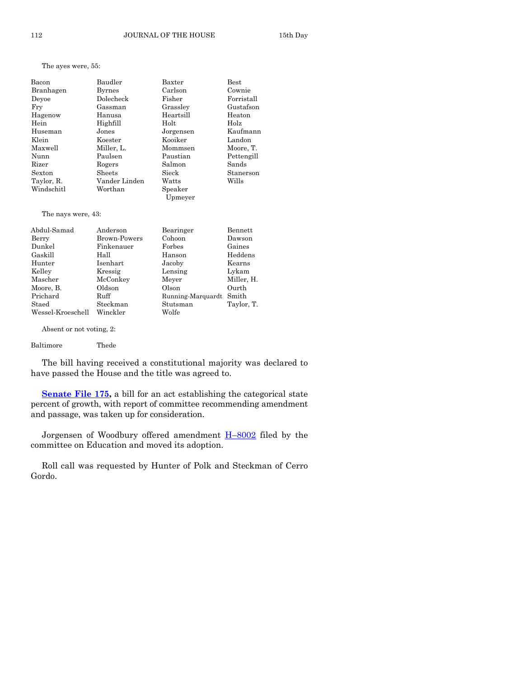The ayes were, 55:

| Bacon      | Baudler       | Baxter    | <b>Best</b> |
|------------|---------------|-----------|-------------|
| Branhagen  | <b>Byrnes</b> | Carlson   | Cownie      |
| Devoe      | Dolecheck     | Fisher    | Forristall  |
| Fry        | Gassman       | Grassley  | Gustafson   |
| Hagenow    | Hanusa        | Heartsill | Heaton      |
| Hein       | Highfill      | Holt      | Holz        |
| Huseman    | Jones         | Jorgensen | Kaufmann    |
| Klein      | Koester       | Kooiker   | Landon      |
| Maxwell    | Miller, L.    | Mommsen   | Moore, T.   |
| Nunn       | Paulsen       | Paustian  | Pettengill  |
| Rizer      | Rogers        | Salmon    | Sands       |
| Sexton     | <b>Sheets</b> | Sieck     | Stanerson   |
| Taylor, R. | Vander Linden | Watts     | Wills       |
| Windschitl | Worthan       | Speaker   |             |
|            |               | Upmeyer   |             |

The nays were, 43:

| Abdul-Samad       | Anderson     | Bearinger         | Bennett    |
|-------------------|--------------|-------------------|------------|
| Berry             | Brown-Powers | Cohoon            | Dawson     |
| Dunkel            | Finkenauer   | Forbes            | Gaines     |
| Gaskill           | Hall         | Hanson            | Heddens    |
| Hunter            | Isenhart     | Jacoby            | Kearns     |
| Kelley            | Kressig      | Lensing           | Lykam      |
| Mascher           | McConkey     | Meyer             | Miller, H. |
| Moore, B.         | Oldson       | Olson             | Ourth      |
| Prichard          | Ruff         | Running-Marquardt | Smith      |
| Staed             | Steckman     | Stutsman          | Taylor, T. |
| Wessel-Kroeschell | Winckler     | Wolfe             |            |

Absent or not voting, 2:

Baltimore Thede

The bill having received a constitutional majority was declared to have passed the House and the title was agreed to.

**[Senate File 175,](http://coolice.legis.iowa.gov/Cool-ICE/default.asp?Category=billinfo&Service=Billbook&frame=1&GA=86&hbill=SF175)** a bill for an act establishing the categorical state percent of growth, with report of committee recommending amendment and passage, was taken up for consideration.

Jorgensen of Woodbury offered amendment H–[8002](http://coolice.legis.iowa.gov/Cool-ICE/default.asp?Category=billinfo&Service=Billbook&frame=1&GA=86&hbill=H8002) filed by the committee on Education and moved its adoption.

Roll call was requested by Hunter of Polk and Steckman of Cerro Gordo.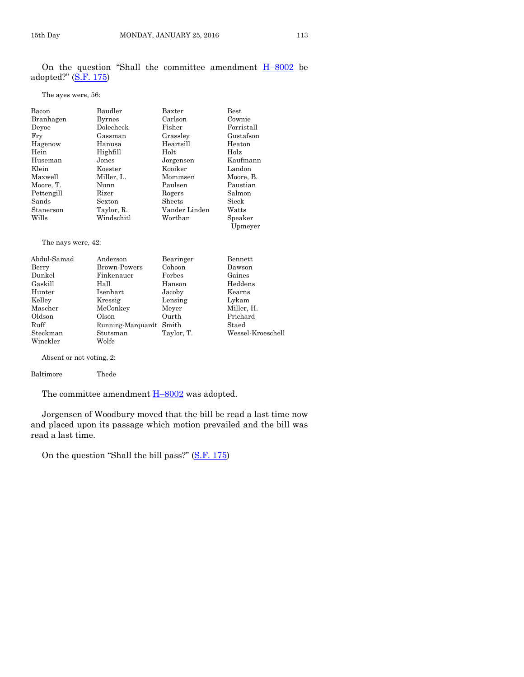|  |                        |  | On the question "Shall the committee amendment H-8002 be |  |
|--|------------------------|--|----------------------------------------------------------|--|
|  | adopted?" $(S.F. 175)$ |  |                                                          |  |

The ayes were, 56:

| Bacon                | Baudler       | Baxter        | Best               |
|----------------------|---------------|---------------|--------------------|
| Branhagen            | <b>Byrnes</b> | Carlson       | Cownie             |
| Devoe                | Dolecheck     | Fisher        | Forristall         |
| Fry                  | Gassman       | Grassley      | Gustafson          |
| Hagenow              | Hanusa        | Heartsill     | Heaton             |
| Hein                 | Highfill      | Holt          | Holz               |
| Huseman              | Jones         | Jorgensen     | Kaufmann           |
| Klein                | Koester       | Kooiker       | Landon             |
| Maxwell              | Miller, L.    | Mommsen       | Moore, B.          |
| Moore, T.            | Nunn          | Paulsen       | Paustian           |
| Pettengill           | Rizer         | Rogers        | Salmon             |
| Sands                | Sexton        | Sheets        | Sieck              |
| Stanerson            | Taylor, R.    | Vander Linden | Watts              |
| Wills                | Windschitl    | Worthan       | Speaker<br>Upmeyer |
| The nays were, 42:   |               |               |                    |
| Abdul-Samad          | Anderson      | Bearinger     | Bennett            |
| Berry                | Brown-Powers  | Cohoon        | Dawson             |
| Dunkel               | Finkenauer    | Forbes        | Gaines             |
| $C_{\alpha}$ . 1.:11 | и.н.          | U anasn       | Uaddama            |

| Dunkei   | r inkenauer             | rorpes     | Gaines            |
|----------|-------------------------|------------|-------------------|
| Gaskill  | Hall                    | Hanson     | Heddens           |
| Hunter   | Isenhart                | Jacoby     | Kearns            |
| Kelley   | Kressig                 | Lensing    | Lykam             |
| Mascher  | McConkey                | Meyer      | Miller, H.        |
| Oldson   | Olson                   | Ourth      | Prichard          |
| Ruff     | Running-Marquardt Smith |            | Staed             |
| Steckman | Stutsman                | Taylor, T. | Wessel-Kroeschell |
| Winckler | Wolfe                   |            |                   |
|          |                         |            |                   |

Absent or not voting, 2:

Baltimore Thede

The committee amendment  $H$ –[8002](http://coolice.legis.iowa.gov/Cool-ICE/default.asp?Category=billinfo&Service=Billbook&frame=1&GA=86&hbill=H8002) was adopted.

Jorgensen of Woodbury moved that the bill be read a last time now and placed upon its passage which motion prevailed and the bill was read a last time.

On the question "Shall the bill pass?" ([S.F. 175\)](http://coolice.legis.iowa.gov/Cool-ICE/default.asp?Category=billinfo&Service=Billbook&frame=1&GA=86&hbill=SF175)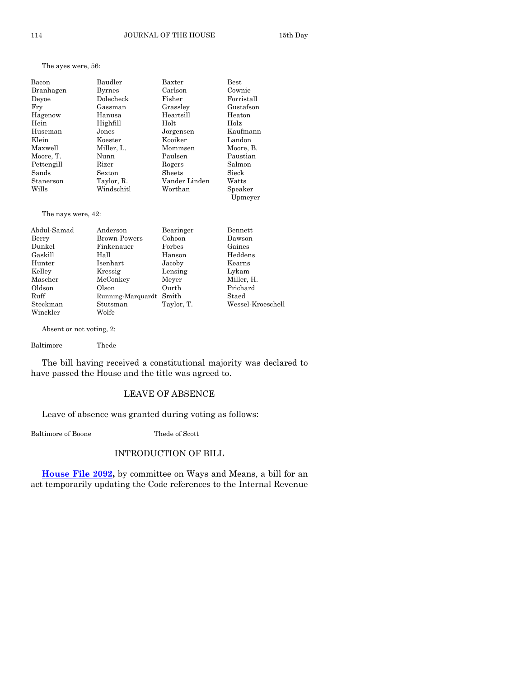The ayes were, 56:

| Bacon      | Baudler    | Baxter        | <b>Best</b>        |
|------------|------------|---------------|--------------------|
| Branhagen  | Byrnes     | Carlson       | Cownie             |
| Devoe      | Dolecheck  | Fisher        | Forristall         |
| Fry        | Gassman    | Grassley      | Gustafson          |
| Hagenow    | Hanusa     | Heartsill     | Heaton             |
| Hein       | Highfill   | Holt          | Holz               |
| Huseman    | Jones      | Jorgensen     | Kaufmann           |
| Klein      | Koester    | Kooiker       | Landon             |
| Maxwell    | Miller, L. | Mommsen       | Moore, B.          |
| Moore, T.  | Nunn       | Paulsen       | Paustian           |
| Pettengill | Rizer      | Rogers        | Salmon             |
| Sands      | Sexton     | Sheets        | Sieck              |
| Stanerson  | Taylor, R. | Vander Linden | Watts              |
| Wills      | Windschitl | Worthan       | Speaker<br>Upmeyer |

The nays were, 42:

| Abdul-Samad | Anderson          | Bearinger  | Bennett           |
|-------------|-------------------|------------|-------------------|
| Berry       | Brown-Powers      | Cohoon     | Dawson            |
| Dunkel      | Finkenauer        | Forbes     | Gaines            |
| Gaskill     | Hall              | Hanson     | Heddens           |
| Hunter      | Isenhart          | Jacoby     | Kearns            |
| Kelley      | Kressig           | Lensing    | Lykam             |
| Mascher     | McConkey          | Meyer      | Miller, H.        |
| Oldson      | Olson             | Ourth      | Prichard          |
| Ruff        | Running-Marquardt | Smith      | Staed             |
| Steckman    | Stutsman          | Taylor, T. | Wessel-Kroeschell |
| Winckler    | Wolfe             |            |                   |

Absent or not voting, 2:

Baltimore Thede

The bill having received a constitutional majority was declared to have passed the House and the title was agreed to.

#### LEAVE OF ABSENCE

Leave of absence was granted during voting as follows:

Baltimore of Boone Thede of Scott

#### INTRODUCTION OF BILL

**[House File 2092,](http://coolice.legis.iowa.gov/Cool-ICE/default.asp?Category=billinfo&Service=Billbook&frame=1&GA=86&hbill=HF2092)** by committee on Ways and Means, a bill for an act temporarily updating the Code references to the Internal Revenue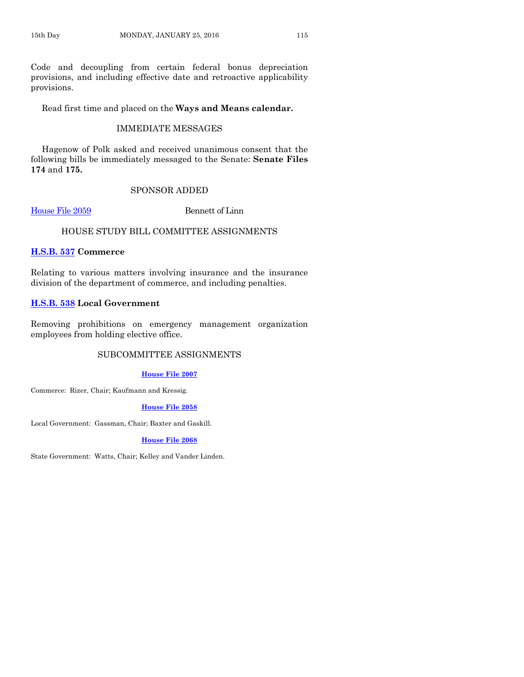Code and decoupling from certain federal bonus depreciation provisions, and including effective date and retroactive applicability provisions.

Read first time and placed on the **Ways and Means calendar.**

#### IMMEDIATE MESSAGES

Hagenow of Polk asked and received unanimous consent that the following bills be immediately messaged to the Senate: **Senate Files 174** and **175.**

#### SPONSOR ADDED

[House File 2059](http://coolice.legis.iowa.gov/Cool-ICE/default.asp?Category=billinfo&Service=Billbook&frame=1&GA=86&hbill=HF2059) Bennett of Linn

#### HOUSE STUDY BILL COMMITTEE ASSIGNMENTS

#### **[H.S.B. 537](http://coolice.legis.iowa.gov/Cool-ICE/default.asp?Category=billinfo&Service=Billbook&frame=1&GA=86&hbill=HSB537) Commerce**

Relating to various matters involving insurance and the insurance division of the department of commerce, and including penalties.

#### **[H.S.B. 538](http://coolice.legis.iowa.gov/Cool-ICE/default.asp?Category=billinfo&Service=Billbook&frame=1&GA=86&hbill=HSB538) Local Government**

Removing prohibitions on emergency management organization employees from holding elective office.

#### SUBCOMMITTEE ASSIGNMENTS

#### **[House File 2007](http://coolice.legis.iowa.gov/Cool-ICE/default.asp?Category=billinfo&Service=Billbook&frame=1&GA=86&hbill=HF2007)**

Commerce: Rizer, Chair; Kaufmann and Kressig.

#### **[House File 2058](http://coolice.legis.iowa.gov/Cool-ICE/default.asp?Category=billinfo&Service=Billbook&frame=1&GA=86&hbill=HF2058)**

Local Government: Gassman, Chair; Baxter and Gaskill.

#### **[House File 2068](http://coolice.legis.iowa.gov/Cool-ICE/default.asp?Category=billinfo&Service=Billbook&frame=1&GA=86&hbill=HF2068)**

State Government: Watts, Chair; Kelley and Vander Linden.